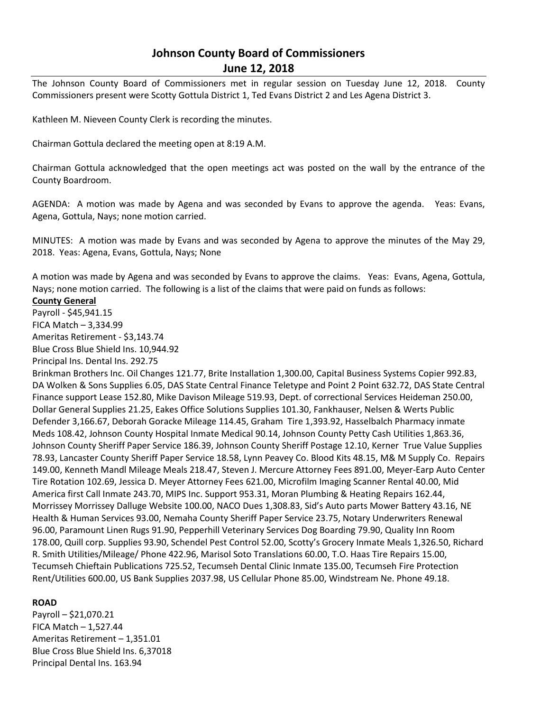# **Johnson County Board of Commissioners June 12, 2018**

The Johnson County Board of Commissioners met in regular session on Tuesday June 12, 2018. County Commissioners present were Scotty Gottula District 1, Ted Evans District 2 and Les Agena District 3.

Kathleen M. Nieveen County Clerk is recording the minutes.

Chairman Gottula declared the meeting open at 8:19 A.M.

Chairman Gottula acknowledged that the open meetings act was posted on the wall by the entrance of the County Boardroom.

AGENDA: A motion was made by Agena and was seconded by Evans to approve the agenda. Yeas: Evans, Agena, Gottula, Nays; none motion carried.

MINUTES: A motion was made by Evans and was seconded by Agena to approve the minutes of the May 29, 2018. Yeas: Agena, Evans, Gottula, Nays; None

A motion was made by Agena and was seconded by Evans to approve the claims. Yeas: Evans, Agena, Gottula, Nays; none motion carried. The following is a list of the claims that were paid on funds as follows:

#### **County General**

Payroll - \$45,941.15 FICA Match – 3,334.99 Ameritas Retirement - \$3,143.74 Blue Cross Blue Shield Ins. 10,944.92

Principal Ins. Dental Ins. 292.75

Brinkman Brothers Inc. Oil Changes 121.77, Brite Installation 1,300.00, Capital Business Systems Copier 992.83, DA Wolken & Sons Supplies 6.05, DAS State Central Finance Teletype and Point 2 Point 632.72, DAS State Central Finance support Lease 152.80, Mike Davison Mileage 519.93, Dept. of correctional Services Heideman 250.00, Dollar General Supplies 21.25, Eakes Office Solutions Supplies 101.30, Fankhauser, Nelsen & Werts Public Defender 3,166.67, Deborah Goracke Mileage 114.45, Graham Tire 1,393.92, Hasselbalch Pharmacy inmate Meds 108.42, Johnson County Hospital Inmate Medical 90.14, Johnson County Petty Cash Utilities 1,863.36, Johnson County Sheriff Paper Service 186.39, Johnson County Sheriff Postage 12.10, Kerner True Value Supplies 78.93, Lancaster County Sheriff Paper Service 18.58, Lynn Peavey Co. Blood Kits 48.15, M& M Supply Co. Repairs 149.00, Kenneth Mandl Mileage Meals 218.47, Steven J. Mercure Attorney Fees 891.00, Meyer-Earp Auto Center Tire Rotation 102.69, Jessica D. Meyer Attorney Fees 621.00, Microfilm Imaging Scanner Rental 40.00, Mid America first Call Inmate 243.70, MIPS Inc. Support 953.31, Moran Plumbing & Heating Repairs 162.44, Morrissey Morrissey Dalluge Website 100.00, NACO Dues 1,308.83, Sid's Auto parts Mower Battery 43.16, NE Health & Human Services 93.00, Nemaha County Sheriff Paper Service 23.75, Notary Underwriters Renewal 96.00, Paramount Linen Rugs 91.90, Pepperhill Veterinary Services Dog Boarding 79.90, Quality Inn Room 178.00, Quill corp. Supplies 93.90, Schendel Pest Control 52.00, Scotty's Grocery Inmate Meals 1,326.50, Richard R. Smith Utilities/Mileage/ Phone 422.96, Marisol Soto Translations 60.00, T.O. Haas Tire Repairs 15.00, Tecumseh Chieftain Publications 725.52, Tecumseh Dental Clinic Inmate 135.00, Tecumseh Fire Protection Rent/Utilities 600.00, US Bank Supplies 2037.98, US Cellular Phone 85.00, Windstream Ne. Phone 49.18.

## **ROAD**

Payroll – \$21,070.21 FICA Match – 1,527.44 Ameritas Retirement – 1,351.01 Blue Cross Blue Shield Ins. 6,37018 Principal Dental Ins. 163.94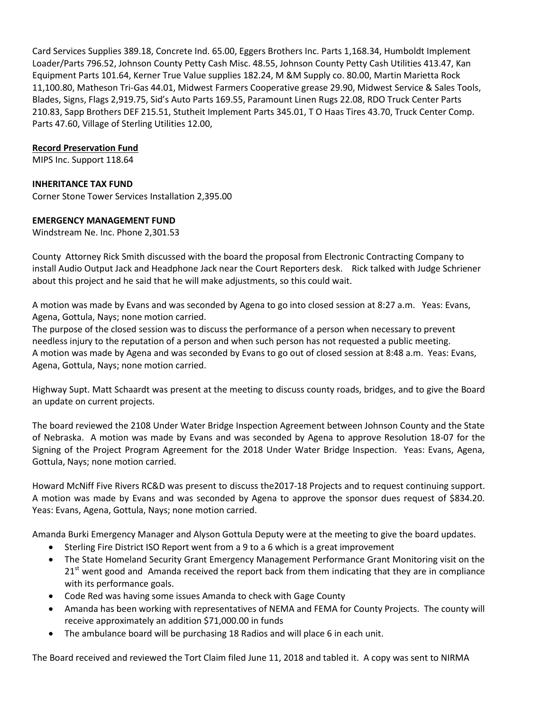Card Services Supplies 389.18, Concrete Ind. 65.00, Eggers Brothers Inc. Parts 1,168.34, Humboldt Implement Loader/Parts 796.52, Johnson County Petty Cash Misc. 48.55, Johnson County Petty Cash Utilities 413.47, Kan Equipment Parts 101.64, Kerner True Value supplies 182.24, M &M Supply co. 80.00, Martin Marietta Rock 11,100.80, Matheson Tri-Gas 44.01, Midwest Farmers Cooperative grease 29.90, Midwest Service & Sales Tools, Blades, Signs, Flags 2,919.75, Sid's Auto Parts 169.55, Paramount Linen Rugs 22.08, RDO Truck Center Parts 210.83, Sapp Brothers DEF 215.51, Stutheit Implement Parts 345.01, T O Haas Tires 43.70, Truck Center Comp. Parts 47.60, Village of Sterling Utilities 12.00,

## **Record Preservation Fund**

MIPS Inc. Support 118.64

## **INHERITANCE TAX FUND**

Corner Stone Tower Services Installation 2,395.00

## **EMERGENCY MANAGEMENT FUND**

Windstream Ne. Inc. Phone 2,301.53

County Attorney Rick Smith discussed with the board the proposal from Electronic Contracting Company to install Audio Output Jack and Headphone Jack near the Court Reporters desk. Rick talked with Judge Schriener about this project and he said that he will make adjustments, so this could wait.

A motion was made by Evans and was seconded by Agena to go into closed session at 8:27 a.m. Yeas: Evans, Agena, Gottula, Nays; none motion carried.

The purpose of the closed session was to discuss the performance of a person when necessary to prevent needless injury to the reputation of a person and when such person has not requested a public meeting. A motion was made by Agena and was seconded by Evans to go out of closed session at 8:48 a.m. Yeas: Evans, Agena, Gottula, Nays; none motion carried.

Highway Supt. Matt Schaardt was present at the meeting to discuss county roads, bridges, and to give the Board an update on current projects.

The board reviewed the 2108 Under Water Bridge Inspection Agreement between Johnson County and the State of Nebraska. A motion was made by Evans and was seconded by Agena to approve Resolution 18-07 for the Signing of the Project Program Agreement for the 2018 Under Water Bridge Inspection. Yeas: Evans, Agena, Gottula, Nays; none motion carried.

Howard McNiff Five Rivers RC&D was present to discuss the2017-18 Projects and to request continuing support. A motion was made by Evans and was seconded by Agena to approve the sponsor dues request of \$834.20. Yeas: Evans, Agena, Gottula, Nays; none motion carried.

Amanda Burki Emergency Manager and Alyson Gottula Deputy were at the meeting to give the board updates.

- Sterling Fire District ISO Report went from a 9 to a 6 which is a great improvement
- The State Homeland Security Grant Emergency Management Performance Grant Monitoring visit on the  $21<sup>st</sup>$  went good and Amanda received the report back from them indicating that they are in compliance with its performance goals.
- Code Red was having some issues Amanda to check with Gage County
- Amanda has been working with representatives of NEMA and FEMA for County Projects. The county will receive approximately an addition \$71,000.00 in funds
- The ambulance board will be purchasing 18 Radios and will place 6 in each unit.

The Board received and reviewed the Tort Claim filed June 11, 2018 and tabled it. A copy was sent to NIRMA